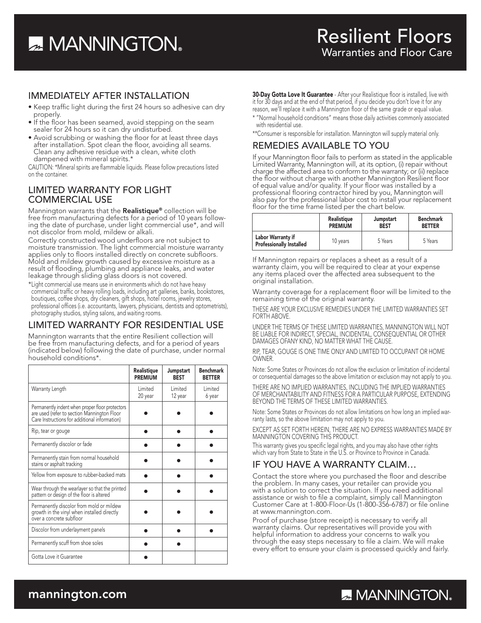# **A MANNINGTON**

### IMMEDIATELY AFTER INSTALLATION

- Keep traffic light during the first 24 hours so adhesive can dry properly.
- If the floor has been seamed, avoid stepping on the seam sealer for 24 hours so it can dry undisturbed.
- Avoid scrubbing or washing the floor for at least three days after installation. Spot clean the floor, avoiding all seams. Clean any adhesive residue with a clean, white cloth dampened with mineral spirits.\*

CAUTION: \*Mineral spirits are flammable liquids. Please follow precautions listed on the container.

### LIMITED WARRANTY FOR LIGHT COMMERCIAL USE

Mannington warrants that the Realistique® collection will be free from manufacturing defects for a period of 10 years following the date of purchase, under light commercial use\*, and will not discolor from mold, mildew or alkali.

Correctly constructed wood underfloors are not subject to moisture transmission. The light commercial moisture warranty applies only to floors installed directly on concrete subfloors. Mold and mildew growth caused by excessive moisture as a result of flooding, plumbing and appliance leaks, and water leakage through sliding glass doors is not covered.

\*Light commercial use means use in environments which do not have heavy commercial traffic or heavy rolling loads, including art galleries, banks, bookstores, boutiques, coffee shops, dry cleaners, gift shops, hotel rooms, jewelry stores, professional offices (i.e. accountants, lawyers, physicians, dentists and optometrists), photography studios, styling salons, and waiting rooms.

### LIMITED WARRANTY FOR RESIDENTIAL USE

Mannington warrants that the entire Resilient collection will be free from manufacturing defects, and for a period of years (indicated below) following the date of purchase, under normal household conditions\*.

|                                                                                                                                                 | Realistique<br><b>PREMIUM</b> | Jumpstart<br><b>BEST</b> | <b>Benchmark</b><br><b>BETTER</b> |
|-------------------------------------------------------------------------------------------------------------------------------------------------|-------------------------------|--------------------------|-----------------------------------|
| Warranty Length                                                                                                                                 | Limited<br>20 year            | Limited<br>12 year       | Limited<br>6 year                 |
| Permanently indent when proper floor protectors<br>are used (refer to section Mannington Floor<br>Care Instructions for additional information) |                               |                          |                                   |
| Rip, tear or gouge                                                                                                                              |                               |                          |                                   |
| Permanently discolor or fade                                                                                                                    |                               |                          |                                   |
| Permanently stain from normal household<br>stains or asphalt tracking                                                                           |                               |                          |                                   |
| Yellow from exposure to rubber-backed mats                                                                                                      |                               |                          |                                   |
| Wear through the wearlayer so that the printed<br>pattern or design of the floor is altered                                                     |                               |                          |                                   |
| Permanently discolor from mold or mildew<br>growth in the vinyl when installed directly<br>over a concrete subfloor                             |                               |                          |                                   |
| Discolor from underlayment panels                                                                                                               |                               |                          |                                   |
| Permanently scuff from shoe soles                                                                                                               |                               |                          |                                   |
| Gotta Love it Guarantee                                                                                                                         |                               |                          |                                   |

**30-Day Gotta Love It Guarantee** - After your Realistique floor is installed, live with it for 30 days and at the end of that period, if you decide you don't love it for any reason, we'll replace it with a Mannington floor of the same grade or equal value.

- \* "Normal household conditions" means those daily activities commonly associated with residential use.
- \*\*Consumer is responsible for installation. Mannington will supply material only.

### REMEDIES AVAILABLE TO YOU

If your Mannington floor fails to perform as stated in the applicable Limited Warranty, Mannington will, at its option, (i) repair without charge the affected area to conform to the warranty; or (ii) replace the floor without charge with another Mannington Resilient floor of equal value and/or quality. If your floor was installed by a professional flooring contractor hired by you, Mannington will also pay for the professional labor cost to install your replacement floor for the time frame listed per the chart below.

|                                                      | Realistique    | Jumpstart   | <b>Benchmark</b> |
|------------------------------------------------------|----------------|-------------|------------------|
|                                                      | <b>PREMIUM</b> | <b>BEST</b> | <b>BETTER</b>    |
| Labor Warranty if<br><b>Professionally Installed</b> | 10 years       | 5 Years     | 5 Years          |

If Mannington repairs or replaces a sheet as a result of a warranty claim, you will be required to clear at your expense any items placed over the affected area subsequent to the original installation.

Warranty coverage for a replacement floor will be limited to the remaining time of the original warranty.

THESE ARE YOUR EXCLUSIVE REMEDIES UNDER THE LIMITED WARRANTIES SET FORTH ABOVE.

UNDER THE TERMS OF THESE LIMITED WARRANTIES, MANNINGTON WILL NOT BE LIABLE FOR INDIRECT, SPECIAL, INCIDENTAL, CONSEQUENTIAL OR OTHER DAMAGES OFANY KIND, NO MATTER WHAT THE CAUSE.

RIP, TEAR, GOUGE IS ONE TIME ONLY AND LIMITED TO OCCUPANT OR HOME OWNER.

Note: Some States or Provinces do not allow the exclusion or limitation of incidental or consequential damages so the above limitation or exclusion may not apply to you.

THERE ARE NO IMPLIED WARRANTIES, INCLUDING THE IMPLIED WARRANTIES OF MERCHANTABILITY AND FITNESS FOR A PARTICULAR PURPOSE, EXTENDING BEYOND THE TERMS OF THESE LIMITED WARRANTIES.

Note: Some States or Provinces do not allow limitations on how long an implied warranty lasts, so the above limitation may not apply to you.

EXCEPT AS SET FORTH HEREIN, THERE ARE NO EXPRESS WARRANTIES MADE BY MANNINGTON COVERING THIS PRODUCT.

This warranty gives you specific legal rights, and you may also have other rights which vary from State to State in the U.S. or Province to Province in Canada.

### IF YOU HAVE A WARRANTY CLAIM…

Contact the store where you purchased the floor and describe the problem. In many cases, your retailer can provide you with a solution to correct the situation. If you need additional assistance or wish to file a complaint, simply call Mannington Customer Care at 1-800-Floor-Us (1-800-356-6787) or file online at www.mannington.com.

Proof of purchase (store receipt) is necessary to verify all warranty claims. Our representatives will provide you with helpful information to address your concerns to walk you through the easy steps necessary to file a claim. We will make every effort to ensure your claim is processed quickly and fairly.

### mannington.com

## **A. MANNINGTON.**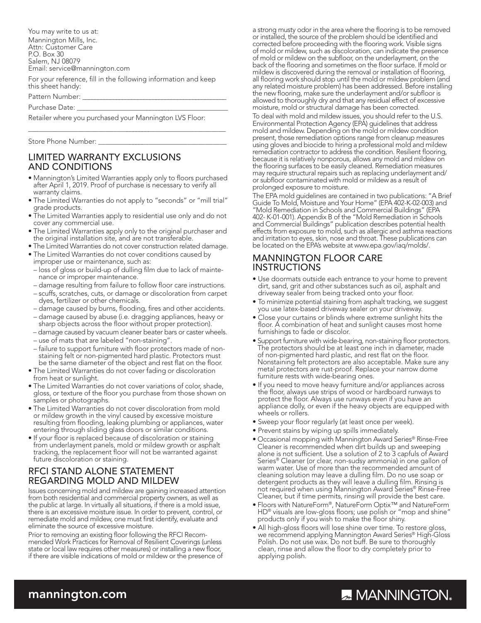You may write to us at: Mannington Mills, Inc. Attn: Customer Care P.O. Box 30 Salem, NJ 08079 Email: service@mannington.com

For your reference, fill in the following information and keep this sheet handy:

Pattern Number:

Purchase Date:

Retailer where you purchased your Mannington LVS Floor:

Store Phone Number:

### LIMITED WARRANTY EXCLUSIONS AND CONDITIONS

• Mannington's Limited Warranties apply only to floors purchased after April 1, 2019. Proof of purchase is necessary to verify all warranty claims.

\_\_\_\_\_\_\_\_\_\_\_\_\_\_\_\_\_\_\_\_\_\_\_\_\_\_\_\_\_\_\_\_\_\_\_\_\_\_\_\_\_\_\_\_\_\_\_\_\_\_\_\_\_\_\_\_\_

- The Limited Warranties do not apply to "seconds" or "mill trial" grade products.
- The Limited Warranties apply to residential use only and do not cover any commercial use.
- The Limited Warranties apply only to the original purchaser and the original installation site, and are not transferable.
- The Limited Warranties do not cover construction related damage.
- The Limited Warranties do not cover conditions caused by improper use or maintenance, such as:
- loss of gloss or build-up of dulling film due to lack of maintenance or improper maintenance.
- damage resulting from failure to follow floor care instructions.
- scuffs, scratches, cuts, or damage or discoloration from carpet dyes, fertilizer or other chemicals.
- damage caused by burns, flooding, fires and other accidents.
- damage caused by abuse (i.e. dragging appliances, heavy or sharp objects across the floor without proper protection).
- damage caused by vacuum cleaner beater bars or caster wheels.
- use of mats that are labeled "non-staining".
- failure to support furniture with floor protectors made of nonstaining felt or non-pigmented hard plastic. Protectors must be the same diameter of the object and rest flat on the floor.
- The Limited Warranties do not cover fading or discoloration from heat or sunlight.
- The Limited Warranties do not cover variations of color, shade, gloss, or texture of the floor you purchase from those shown on samples or photographs.
- The Limited Warranties do not cover discoloration from mold or mildew growth in the vinyl caused by excessive moisture resulting from flooding, leaking plumbing or appliances, water entering through sliding glass doors or similar conditions.
- If your floor is replaced because of discoloration or staining from underlayment panels, mold or mildew growth or asphalt tracking, the replacement floor will not be warranted against future discoloration or staining.

### RFCI STAND ALONE STATEMENT REGARDING MOLD AND MILDEW

Issues concerning mold and mildew are gaining increased attention from both residential and commercial property owners, as well as the public at large. In virtually all situations, if there is a mold issue, there is an excessive moisture issue. In order to prevent, control, or remediate mold and mildew, one must first identify, evaluate and eliminate the source of excessive moisture.

Prior to removing an existing floor following the RFCI Recommended Work Practices for Removal of Resilient Coverings (unless state or local law requires other measures) or installing a new floor, if there are visible indications of mold or mildew or the presence of a strong musty odor in the area where the flooring is to be removed or installed, the source of the problem should be identified and corrected before proceeding with the flooring work. Visible signs of mold or mildew, such as discoloration, can indicate the presence of mold or mildew on the subfloor, on the underlayment, on the back of the flooring and sometimes on the floor surface. If mold or mildew is discovered during the removal or installation of flooring, all flooring work should stop until the mold or mildew problem (and any related moisture problem) has been addressed. Before installing the new flooring, make sure the underlayment and/or subfloor is allowed to thoroughly dry and that any residual effect of excessive moisture, mold or structural damage has been corrected.

To deal with mold and mildew issues, you should refer to the U.S. Environmental Protection Agency (EPA) guidelines that address mold and mildew. Depending on the mold or mildew condition present, those remediation options range from cleanup measures using gloves and biocide to hiring a professional mold and mildew remediation contractor to address the condition. Resilient flooring, because it is relatively nonporous, allows any mold and mildew on the flooring surfaces to be easily cleaned. Remediation measures may require structural repairs such as replacing underlayment and/ or subfloor contaminated with mold or mildew as a result of prolonged exposure to moisture.

The EPA mold guidelines are contained in two publications: "A Brief Guide To Mold, Moisture and Your Home" (EPA 402-K-02-003) and "Mold Remediation in Schools and Commercial Buildings" (EPA 402- K-01-001). Appendix B of the "Mold Remediation in Schools and Commercial Buildings" publication describes potential health effects from exposure to mold, such as allergic and asthma reactions and irritation to eyes, skin, nose and throat. These publications can be located on the EPA's website at www.epa.gov/iaq/molds/.

#### MANNINGTON FLOOR CARE INSTRUCTIONS

- Use doormats outside each entrance to your home to prevent dirt, sand, grit and other substances such as oil, asphalt and driveway sealer from being tracked onto your floor.
- To minimize potential staining from asphalt tracking, we suggest you use latex-based driveway sealer on your driveway.
- Close your curtains or blinds where extreme sunlight hits the floor. A combination of heat and sunlight causes most home furnishings to fade or discolor.
- Support furniture with wide-bearing, non-staining floor protectors. The protectors should be at least one inch in diameter, made of non-pigmented hard plastic, and rest flat on the floor. Nonstaining felt protectors are also acceptable. Make sure any metal protectors are rust-proof. Replace your narrow dome furniture rests with wide-bearing ones.
- If you need to move heavy furniture and/or appliances across the floor, always use strips of wood or hardboard runways to protect the floor. Always use runways even if you have an appliance dolly, or even if the heavy objects are equipped with wheels or rollers.
- Sweep your floor regularly (at least once per week).
- Prevent stains by wiping up spills immediately.
- Occasional mopping with Mannington Award Series® Rinse-Free Cleaner is recommended when dirt builds up and sweeping alone is not sufficient. Use a solution of 2 to 3 capfuls of Award Series® Cleaner (or clear, non-sudsy ammonia) in one gallon of warm water. Use of more than the recommended amount of cleaning solution may leave a dulling film. Do no use soap or detergent products as they will leave a dulling film. Rinsing is not required when using Mannington Award Series® Rinse-Free Cleaner, but if time permits, rinsing will provide the best care.
- Floors with NatureForm®, NatureForm Optix™ and NatureForm HD® visuals are low-gloss floors; use polish or "mop and shine" products only if you wish to make the floor shiny.
- All high-gloss floors will lose shine over time. To restore gloss, we recommend applying Mannington Award Series® High-Gloss Polish. Do not use wax. Do not buff. Be sure to thoroughly clean, rinse and allow the floor to dry completely prior to applying polish.

### mannington.com